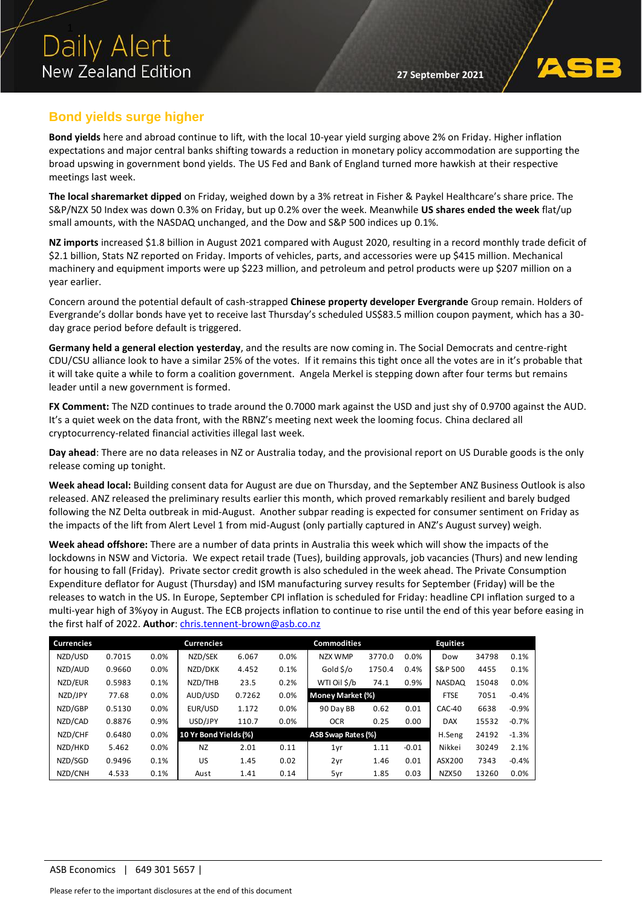

## **Bond yields surge higher**

**Bond yields** here and abroad continue to lift, with the local 10-year yield surging above 2% on Friday. Higher inflation expectations and major central banks shifting towards a reduction in monetary policy accommodation are supporting the broad upswing in government bond yields. The US Fed and Bank of England turned more hawkish at their respective meetings last week.

**The local sharemarket dipped** on Friday, weighed down by a 3% retreat in Fisher & Paykel Healthcare's share price. The S&P/NZX 50 Index was down 0.3% on Friday, but up 0.2% over the week. Meanwhile **US shares ended the week** flat/up small amounts, with the NASDAQ unchanged, and the Dow and S&P 500 indices up 0.1%.

**NZ imports** increased \$1.8 billion in August 2021 compared with August 2020, resulting in a record monthly trade deficit of \$2.1 billion, Stats NZ reported on Friday. Imports of vehicles, parts, and accessories were up \$415 million. Mechanical machinery and equipment imports were up \$223 million, and petroleum and petrol products were up \$207 million on a year earlier.

Concern around the potential default of cash-strapped **Chinese property developer Evergrande** Group remain. Holders of Evergrande's dollar bonds have yet to receive last Thursday's scheduled US\$83.5 million coupon payment, which has a 30 day grace period before default is triggered.

**Germany held a general election yesterday**, and the results are now coming in. The Social Democrats and centre-right CDU/CSU alliance look to have a similar 25% of the votes. If it remains this tight once all the votes are in it's probable that it will take quite a while to form a coalition government. Angela Merkel is stepping down after four terms but remains leader until a new government is formed.

**FX Comment:** The NZD continues to trade around the 0.7000 mark against the USD and just shy of 0.9700 against the AUD. It's a quiet week on the data front, with the RBNZ's meeting next week the looming focus. China declared all cryptocurrency-related financial activities illegal last week.

**Day ahead**: There are no data releases in NZ or Australia today, and the provisional report on US Durable goods is the only release coming up tonight.

**Week ahead local:** Building consent data for August are due on Thursday, and the September ANZ Business Outlook is also released. ANZ released the preliminary results earlier this month, which proved remarkably resilient and barely budged following the NZ Delta outbreak in mid-August. Another subpar reading is expected for consumer sentiment on Friday as the impacts of the lift from Alert Level 1 from mid-August (only partially captured in ANZ's August survey) weigh.

**Week ahead offshore:** There are a number of data prints in Australia this week which will show the impacts of the lockdowns in NSW and Victoria. We expect retail trade (Tues), building approvals, job vacancies (Thurs) and new lending for housing to fall (Friday). Private sector credit growth is also scheduled in the week ahead. The Private Consumption Expenditure deflator for August (Thursday) and ISM manufacturing survey results for September (Friday) will be the releases to watch in the US. In Europe, September CPI inflation is scheduled for Friday: headline CPI inflation surged to a multi-year high of 3%yoy in August. The ECB projects inflation to continue to rise until the end of this year before easing in the first half of 2022. **Author**: [chris.tennent-brown@asb.co.nz](mailto:chris.tennent-brown@asb.co.nz)

| <b>Currencies</b> |        |         | <b>Currencies</b>     |        |      | <b>Commodities</b> |        |         | <b>Equities</b> |       |         |
|-------------------|--------|---------|-----------------------|--------|------|--------------------|--------|---------|-----------------|-------|---------|
| NZD/USD           | 0.7015 | 0.0%    | NZD/SEK               | 6.067  | 0.0% | NZX WMP            | 3770.0 | 0.0%    | Dow             | 34798 | 0.1%    |
| NZD/AUD           | 0.9660 | $0.0\%$ | NZD/DKK               | 4.452  | 0.1% | Gold \$/o          | 1750.4 | 0.4%    | S&P 500         | 4455  | 0.1%    |
| NZD/EUR           | 0.5983 | 0.1%    | NZD/THB               | 23.5   | 0.2% | WTI Oil \$/b       | 74.1   | 0.9%    | <b>NASDAQ</b>   | 15048 | 0.0%    |
| NZD/JPY           | 77.68  | 0.0%    | AUD/USD               | 0.7262 | 0.0% | Money Market (%)   |        |         | <b>FTSE</b>     | 7051  | $-0.4%$ |
| NZD/GBP           | 0.5130 | 0.0%    | EUR/USD               | 1.172  | 0.0% | 90 Day BB          | 0.62   | 0.01    | CAC-40          | 6638  | $-0.9%$ |
| NZD/CAD           | 0.8876 | 0.9%    | USD/JPY               | 110.7  | 0.0% | <b>OCR</b>         | 0.25   | 0.00    | <b>DAX</b>      | 15532 | $-0.7%$ |
| NZD/CHF           | 0.6480 | 0.0%    | 10 Yr Bond Yields (%) |        |      | ASB Swap Rates (%) |        |         | H.Seng          | 24192 | $-1.3%$ |
| NZD/HKD           | 5.462  | 0.0%    | <b>NZ</b>             | 2.01   | 0.11 | 1yr                | 1.11   | $-0.01$ | Nikkei          | 30249 | 2.1%    |
| NZD/SGD           | 0.9496 | 0.1%    | US                    | 1.45   | 0.02 | 2yr                | 1.46   | 0.01    | ASX200          | 7343  | $-0.4%$ |
| NZD/CNH           | 4.533  | 0.1%    | Aust                  | 1.41   | 0.14 | 5yr                | 1.85   | 0.03    | NZX50           | 13260 | 0.0%    |